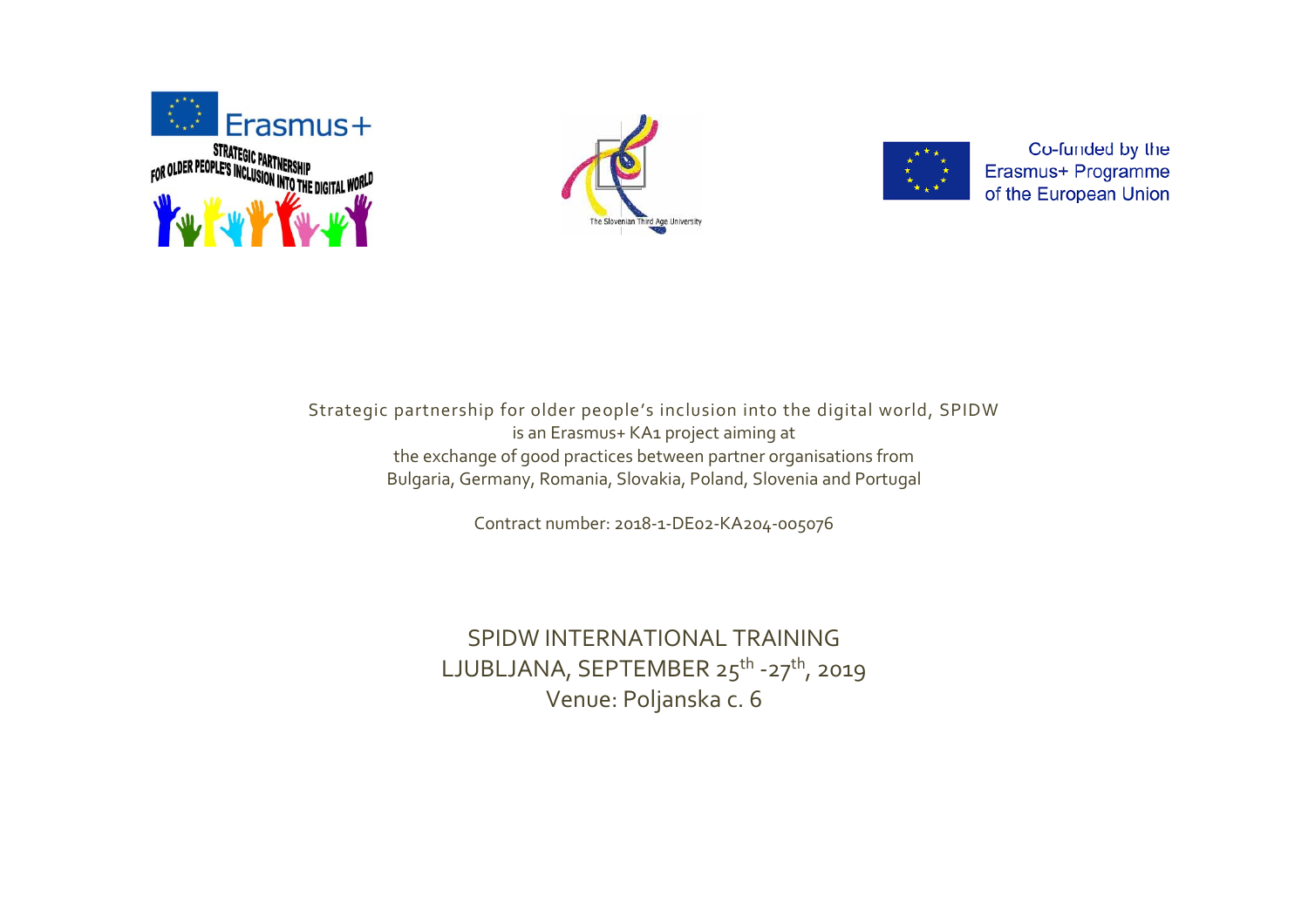





Co-funded by the Erasmus+ Programme of the European Union

Strategic [partnership](http://www.utzo.si/en/projekti/spidw-strategic-partnership-for-older-peoples-inclusion-into-the-digital-world/) for older people's inclusion into the digital world, SPIDW is an Erasmus+ KA1 project aiming at the exchange of good practices between partner organisations from Bulgaria, Germany, Romania, Slovakia, Poland, Slovenia and Portugal

Contract number: 2018-1-DE02-KA204-0o5076

SPIDW INTERNATIONAL TRAINING LJUBLJANA, SEPTEMBER 25<sup>th</sup> -27<sup>th</sup>, 2019 Venue: Poljanska c. 6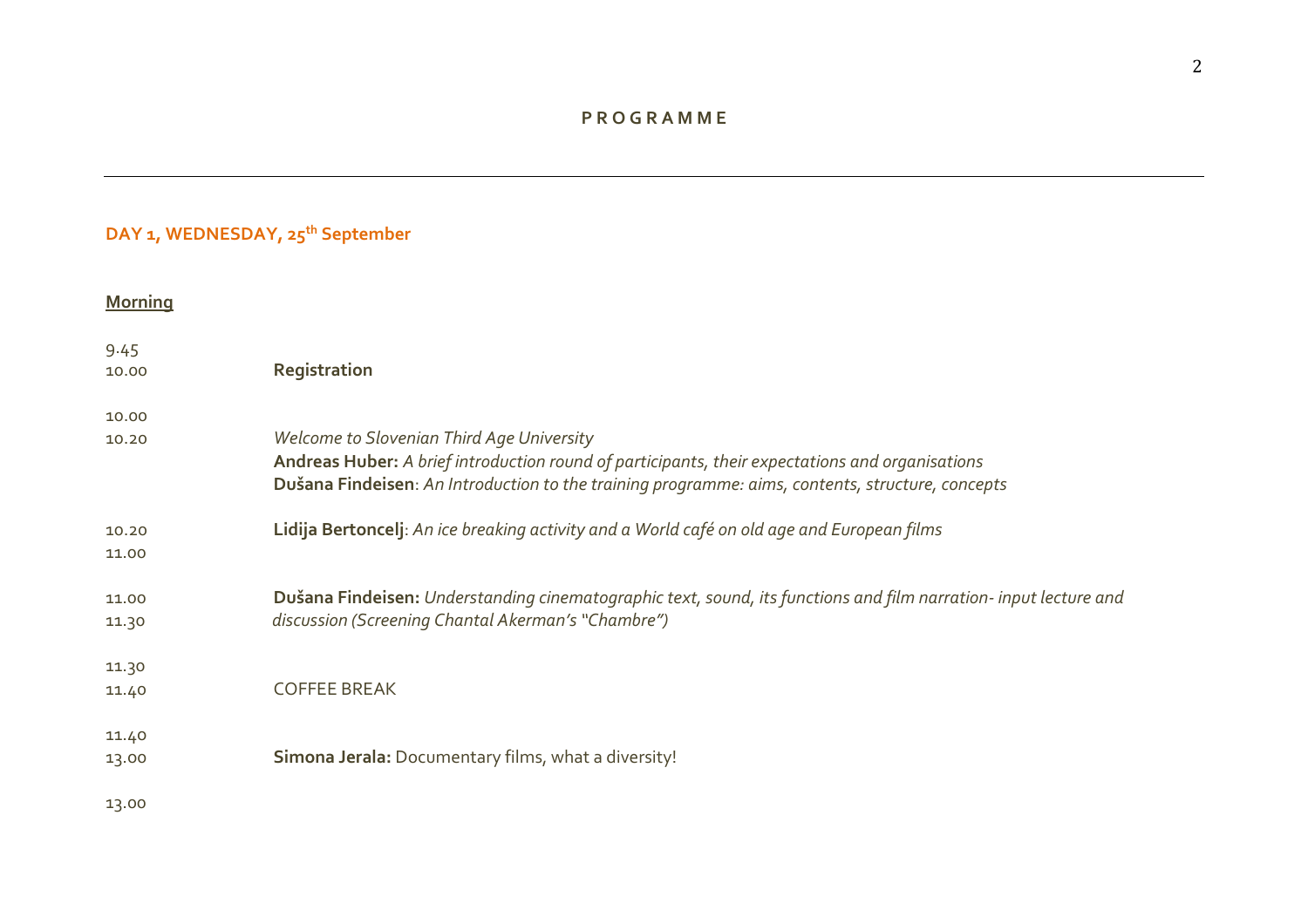### **P R O G R A M M E**

## **DAY 1, WEDNESDAY, 25th September**

| <b>Morning</b> |                                                                                                                  |
|----------------|------------------------------------------------------------------------------------------------------------------|
| 9.45           |                                                                                                                  |
| 10.00          | Registration                                                                                                     |
| 10.00          |                                                                                                                  |
| 10.20          | Welcome to Slovenian Third Age University                                                                        |
|                | Andreas Huber: A brief introduction round of participants, their expectations and organisations                  |
|                | Dušana Findeisen: An Introduction to the training programme: aims, contents, structure, concepts                 |
| 10.20          | Lidija Bertoncelj: An ice breaking activity and a World café on old age and European films                       |
| 11.00          |                                                                                                                  |
| 11.00          | Dušana Findeisen: Understanding cinematographic text, sound, its functions and film narration- input lecture and |
| 11.30          | discussion (Screening Chantal Akerman's "Chambre")                                                               |
| 11.30          |                                                                                                                  |
| 11.40          | <b>COFFEE BREAK</b>                                                                                              |
| 11.40          |                                                                                                                  |
| 13.00          | Simona Jerala: Documentary films, what a diversity!                                                              |
| 13.00          |                                                                                                                  |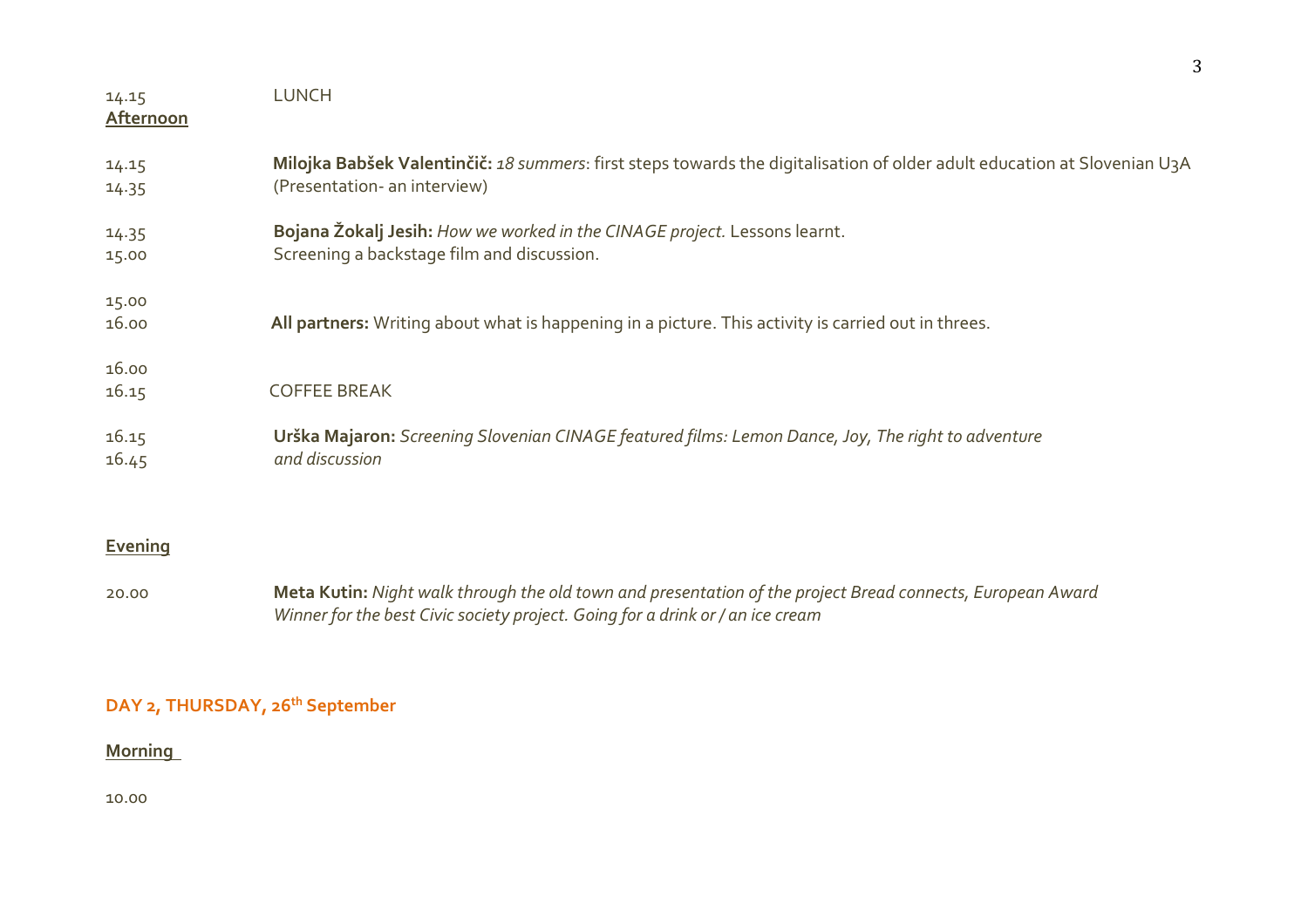| 14.15<br>Afternoon | LUNCH                                                                                                                                                    |
|--------------------|----------------------------------------------------------------------------------------------------------------------------------------------------------|
| 14.15<br>14.35     | Milojka Babšek Valentinčič: 18 summers: first steps towards the digitalisation of older adult education at Slovenian U3A<br>(Presentation- an interview) |
| 14.35<br>15.00     | Bojana Žokalj Jesih: How we worked in the CINAGE project. Lessons learnt.<br>Screening a backstage film and discussion.                                  |
| 15.00<br>16.00     | All partners: Writing about what is happening in a picture. This activity is carried out in threes.                                                      |
| 16.00<br>16.15     | <b>COFFEE BREAK</b>                                                                                                                                      |
| 16.15<br>16.45     | Urška Majaron: Screening Slovenian CINAGE featured films: Lemon Dance, Joy, The right to adventure<br>and discussion                                     |
|                    |                                                                                                                                                          |

3

#### **Evening**

20.00 Meta Kutin: Night walk through the old town and presentation of the project Bread connects, European Award *Winner for the best Civic society project. Going for a drink or / an ice cream*

## **DAY 2, THURSDAY, 26th September**

### **Morning**

10.00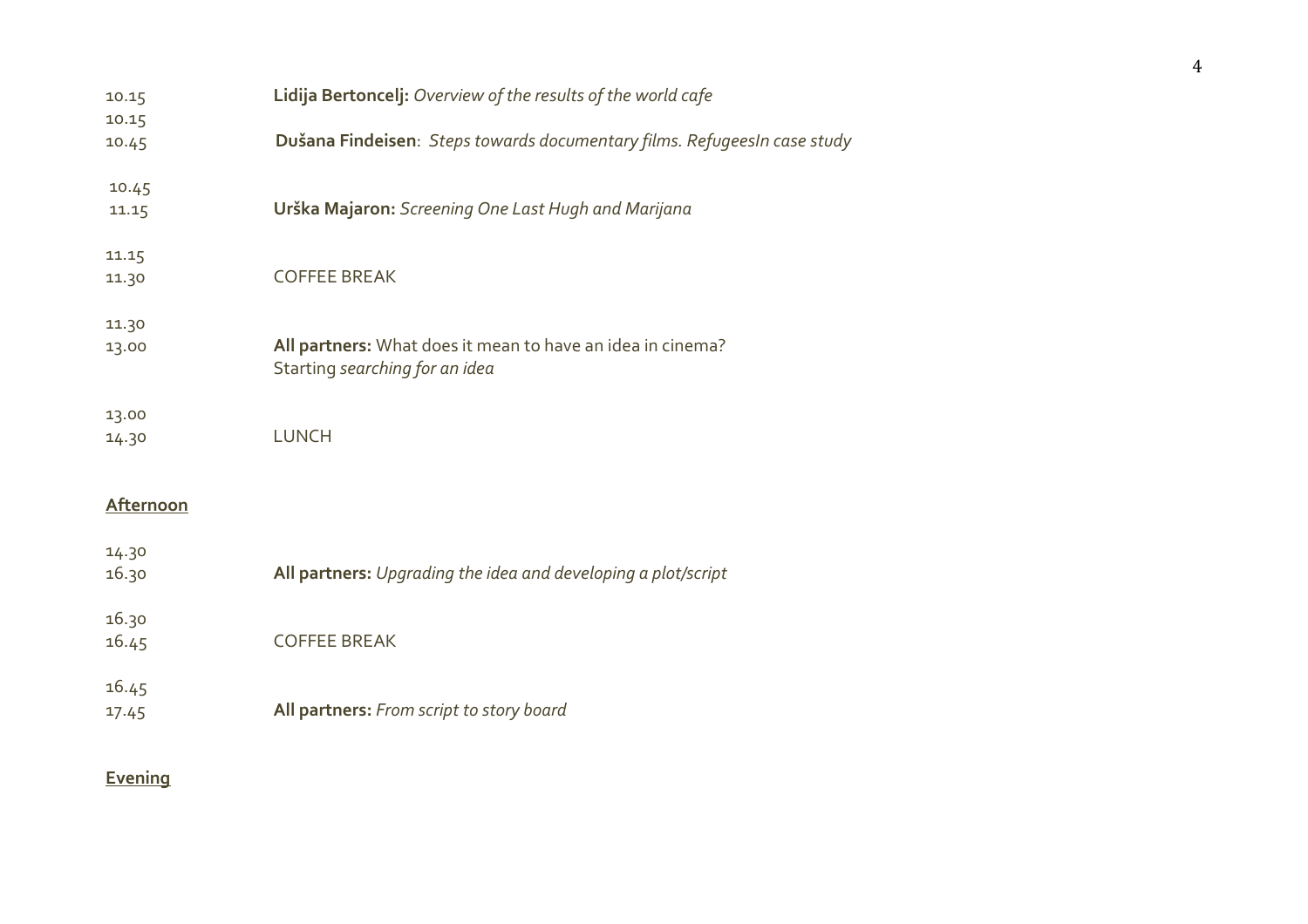| 10.15            | Lidija Bertoncelj: Overview of the results of the world cafe                                 |
|------------------|----------------------------------------------------------------------------------------------|
| 10.15<br>10.45   | Dušana Findeisen: Steps towards documentary films. RefugeesIn case study                     |
| 10.45<br>11.15   | Urška Majaron: Screening One Last Hugh and Marijana                                          |
| 11.15<br>11.30   | <b>COFFEE BREAK</b>                                                                          |
| 11.30<br>13.00   | All partners: What does it mean to have an idea in cinema?<br>Starting searching for an idea |
| 13.00<br>14.30   | <b>LUNCH</b>                                                                                 |
| <b>Afternoon</b> |                                                                                              |
| 14.30<br>16.30   | All partners: Upgrading the idea and developing a plot/script                                |
| 16.30<br>16.45   | <b>COFFEE BREAK</b>                                                                          |
| 16.45<br>17.45   | All partners: From script to story board                                                     |
|                  |                                                                                              |

## **Evening**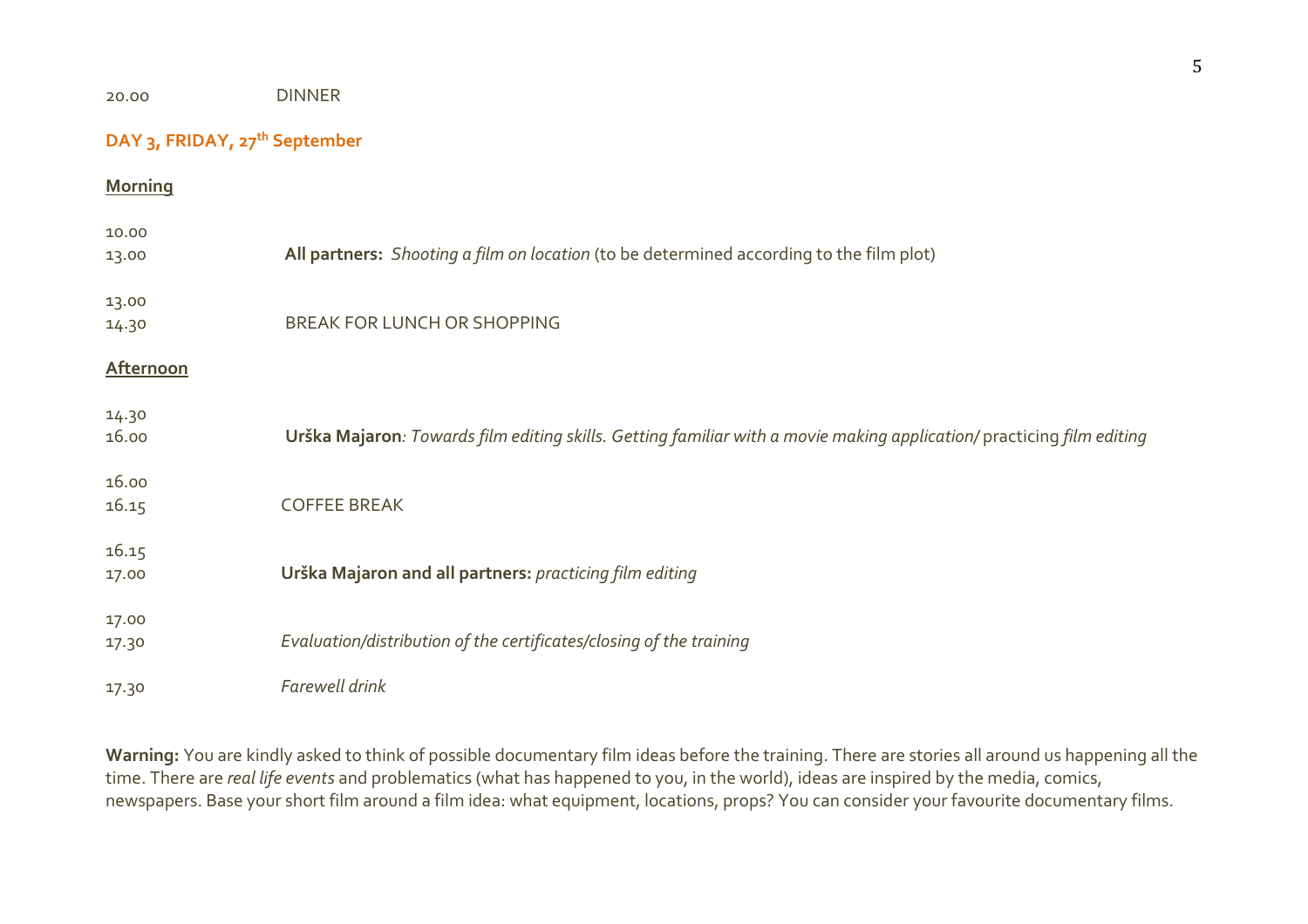| 20.00                                     | <b>DINNER</b>                                                                                                         |  |  |
|-------------------------------------------|-----------------------------------------------------------------------------------------------------------------------|--|--|
| DAY 3, FRIDAY, 27 <sup>th</sup> September |                                                                                                                       |  |  |
| <b>Morning</b>                            |                                                                                                                       |  |  |
| 10.00                                     |                                                                                                                       |  |  |
| 13.00                                     | All partners: Shooting a film on location (to be determined according to the film plot)                               |  |  |
| 13.00                                     |                                                                                                                       |  |  |
| 14.30                                     | BREAK FOR LUNCH OR SHOPPING                                                                                           |  |  |
| <b>Afternoon</b>                          |                                                                                                                       |  |  |
| 14.30                                     |                                                                                                                       |  |  |
| 16.00                                     | Urška Majaron: Towards film editing skills. Getting familiar with a movie making application/ practicing film editing |  |  |
| 16.00                                     |                                                                                                                       |  |  |
| 16.15                                     | <b>COFFEE BREAK</b>                                                                                                   |  |  |
| 16.15                                     |                                                                                                                       |  |  |
| 17.00                                     | Urška Majaron and all partners: practicing film editing                                                               |  |  |
| 17.00                                     |                                                                                                                       |  |  |
| 17.30                                     | Evaluation/distribution of the certificates/closing of the training                                                   |  |  |
| 17.30                                     | Farewell drink                                                                                                        |  |  |

**Warning:** You are kindly asked to think of possible documentary film ideas before the training. There are stories all around us happening all the time. There are *real life events* and problematics (what has happened to you, in the world), ideas are inspired by the media, comics, newspapers. Base your short film around a film idea: what equipment, locations, props? You can consider your favourite documentary films.